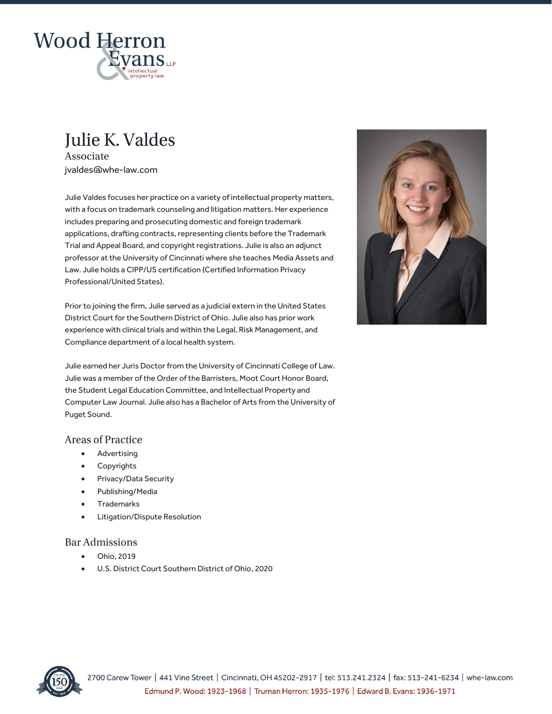

# **Julie K. Valdes**

Associate jvaldes@whe-law.com

Julie Valdes focuses her practice on a variety of intellectual property matters, with a focus on trademark counseling and litigation matters. Her experience includes preparing and prosecuting domestic and foreign trademark applications, drafting contracts, representing clients before the Trademark Trial and Appeal Board, and copyright registrations. Julie is also an adjunct professor at the University of Cincinnati where she teaches Media Assets and Law. Julie holds a CIPP/US certification (Certified Information Privacy Professional/United States).

Prior to joining the firm, Julie served as a judicial extern in the United States District Court for the Southern District of Ohio. Julie also has prior work experience with clinical trials and within the Legal, Risk Management, and Compliance department of a local health system.

Julie earned her Juris Doctor from the University of Cincinnati College of Law. Julie was a member of the Order of the Barristers, Moot Court Honor Board, the Student Legal Education Committee, and Intellectual Property and Computer Law Journal. Julie also has a Bachelor of Arts from the University of Puget Sound.

## **Areas of Practice**

- Advertising
- **Copyrights**
- Privacy/Data Security
- Publishing/Media
- **Trademarks**
- Litigation/Dispute Resolution

## **Bar Admissions**

- Ohio, 2019
- U.S. District Court Southern District of Ohio, 2020